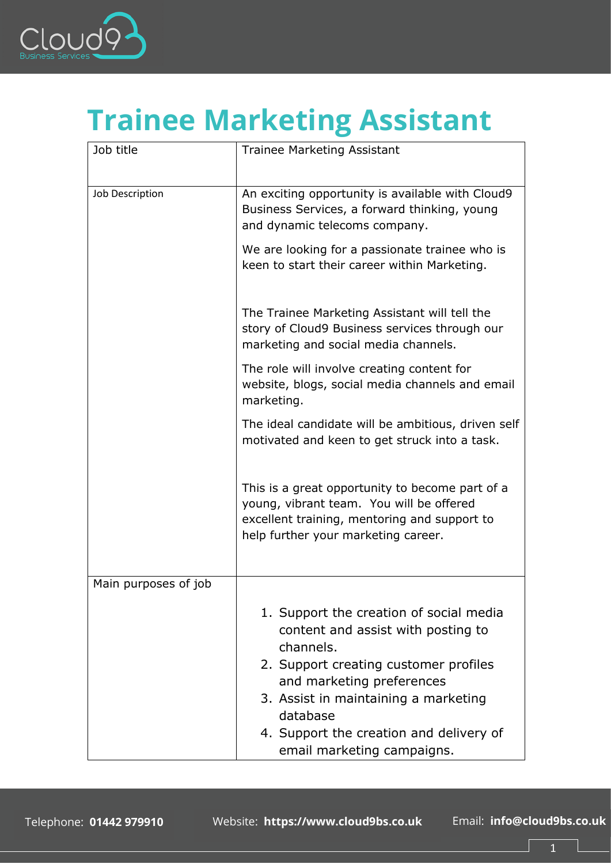

## **Trainee Marketing Assistant**

| Job title            | <b>Trainee Marketing Assistant</b>                                                                                                                                                                                                                                                            |
|----------------------|-----------------------------------------------------------------------------------------------------------------------------------------------------------------------------------------------------------------------------------------------------------------------------------------------|
| Job Description      | An exciting opportunity is available with Cloud9<br>Business Services, a forward thinking, young<br>and dynamic telecoms company.                                                                                                                                                             |
|                      | We are looking for a passionate trainee who is<br>keen to start their career within Marketing.                                                                                                                                                                                                |
|                      | The Trainee Marketing Assistant will tell the<br>story of Cloud9 Business services through our<br>marketing and social media channels.                                                                                                                                                        |
|                      | The role will involve creating content for<br>website, blogs, social media channels and email<br>marketing.                                                                                                                                                                                   |
|                      | The ideal candidate will be ambitious, driven self<br>motivated and keen to get struck into a task.                                                                                                                                                                                           |
|                      | This is a great opportunity to become part of a<br>young, vibrant team. You will be offered<br>excellent training, mentoring and support to<br>help further your marketing career.                                                                                                            |
| Main purposes of job |                                                                                                                                                                                                                                                                                               |
|                      | 1. Support the creation of social media<br>content and assist with posting to<br>channels.<br>2. Support creating customer profiles<br>and marketing preferences<br>3. Assist in maintaining a marketing<br>database<br>4. Support the creation and delivery of<br>email marketing campaigns. |

1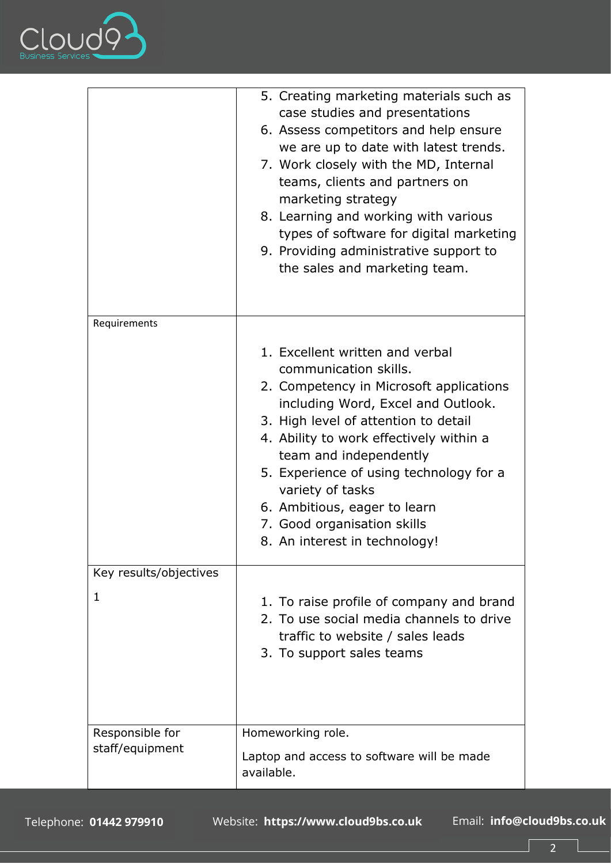

|                                    | 5. Creating marketing materials such as<br>case studies and presentations<br>6. Assess competitors and help ensure<br>we are up to date with latest trends.<br>7. Work closely with the MD, Internal<br>teams, clients and partners on<br>marketing strategy<br>8. Learning and working with various<br>types of software for digital marketing<br>9. Providing administrative support to<br>the sales and marketing team. |
|------------------------------------|----------------------------------------------------------------------------------------------------------------------------------------------------------------------------------------------------------------------------------------------------------------------------------------------------------------------------------------------------------------------------------------------------------------------------|
| Requirements                       | 1. Excellent written and verbal<br>communication skills.<br>2. Competency in Microsoft applications<br>including Word, Excel and Outlook.<br>3. High level of attention to detail<br>4. Ability to work effectively within a<br>team and independently<br>5. Experience of using technology for a<br>variety of tasks<br>6. Ambitious, eager to learn<br>7. Good organisation skills<br>8. An interest in technology!      |
| Key results/objectives<br>1        | 1. To raise profile of company and brand<br>2. To use social media channels to drive<br>traffic to website / sales leads<br>3. To support sales teams                                                                                                                                                                                                                                                                      |
| Responsible for<br>staff/equipment | Homeworking role.<br>Laptop and access to software will be made<br>available.                                                                                                                                                                                                                                                                                                                                              |

Website: https://www.cloud9bs.co.uk Email: info@cloud9bs.co.uk

 $\overline{2}$